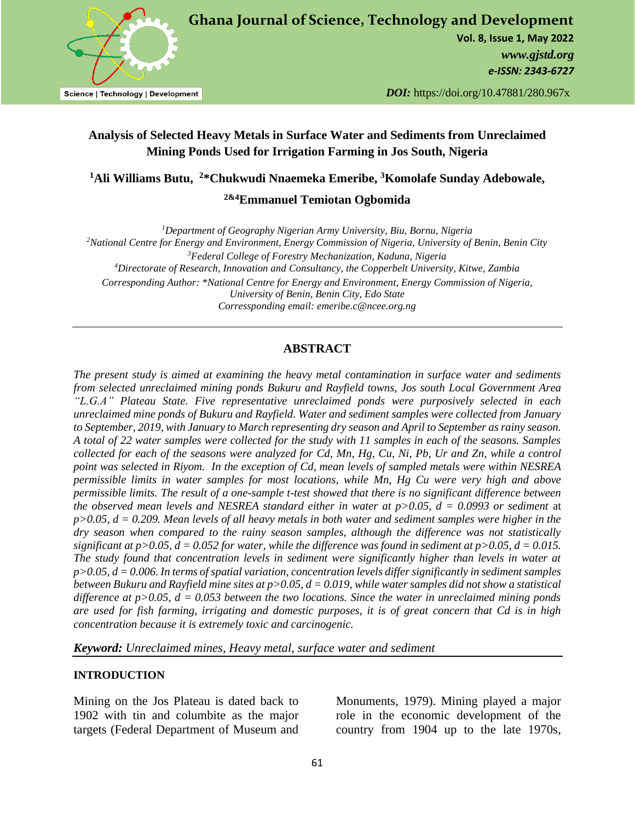

**Vol. 8, Issue 1, May 2022** *[www.gjstd.org](http://www.gjstd.org/) e-ISSN: 2343-6727*

*DOI:* https://doi.org/10.47881/280.967x

# **Analysis of Selected Heavy Metals in Surface Water and Sediments from Unreclaimed Mining Ponds Used for Irrigation Farming in Jos South, Nigeria**

**<sup>1</sup>Ali Williams Butu, <sup>2</sup>\*Chukwudi Nnaemeka Emeribe, <sup>3</sup>Komolafe Sunday Adebowale,**

**2&4Emmanuel Temiotan Ogbomida**

*<sup>1</sup>Department of Geography Nigerian Army University, Biu, Bornu, Nigeria*

*<sup>2</sup>National Centre for Energy and Environment, Energy Commission of Nigeria, University of Benin, Benin City*

*<sup>3</sup>Federal College of Forestry Mechanization, Kaduna, Nigeria <sup>4</sup>Directorate of Research, Innovation and Consultancy, the Copperbelt University, Kitwe, Zambia Corresponding Author: \*National Centre for Energy and Environment, Energy Commission of Nigeria, University of Benin, Benin City, Edo State*

*Corressponding email: emeribe.c@ncee.org.ng* 

## **ABSTRACT**

*The present study is aimed at examining the heavy metal contamination in surface water and sediments from selected unreclaimed mining ponds Bukuru and Rayfield towns, Jos south Local Government Area "L.G.A" Plateau State. Five representative unreclaimed ponds were purposively selected in each unreclaimed mine ponds of Bukuru and Rayfield. Water and sediment samples were collected from January to September, 2019, with January to March representing dry season and April to September as rainy season. A total of 22 water samples were collected for the study with 11 samples in each of the seasons. Samples collected for each of the seasons were analyzed for Cd, Mn, Hg, Cu, Ni, Pb, Ur and Zn, while a control point was selected in Riyom. In the exception of Cd, mean levels of sampled metals were within NESREA permissible limits in water samples for most locations, while Mn, Hg Cu were very high and above permissible limits. The result of a one-sample t-test showed that there is no significant difference between the observed mean levels and NESREA standard either in water at p>0.05, d = 0.0993 or sediment* at *p>0.05, d = 0.209. Mean levels of all heavy metals in both water and sediment samples were higher in the dry season when compared to the rainy season samples, although the difference was not statistically significant at p>0.05, d = 0.052 for water, while the difference was found in sediment at p>0.05, d = 0.015. The study found that concentration levels in sediment were significantly higher than levels in water at p>0.05, d = 0.006. In terms of spatial variation, concentration levels differ significantly in sediment samples between Bukuru and Rayfield mine sites at p>0.05, d = 0.019, while water samples did not show a statistical difference at p>0.05, d = 0.053 between the two locations. Since the water in unreclaimed mining ponds are used for fish farming, irrigating and domestic purposes, it is of great concern that Cd is in high concentration because it is extremely toxic and carcinogenic.*

*Keyword: Unreclaimed mines, Heavy metal, surface water and sediment*

### **INTRODUCTION**

Mining on the Jos Plateau is dated back to 1902 with tin and columbite as the major targets (Federal Department of Museum and Monuments, 1979). Mining played a major role in the economic development of the country from 1904 up to the late 1970s,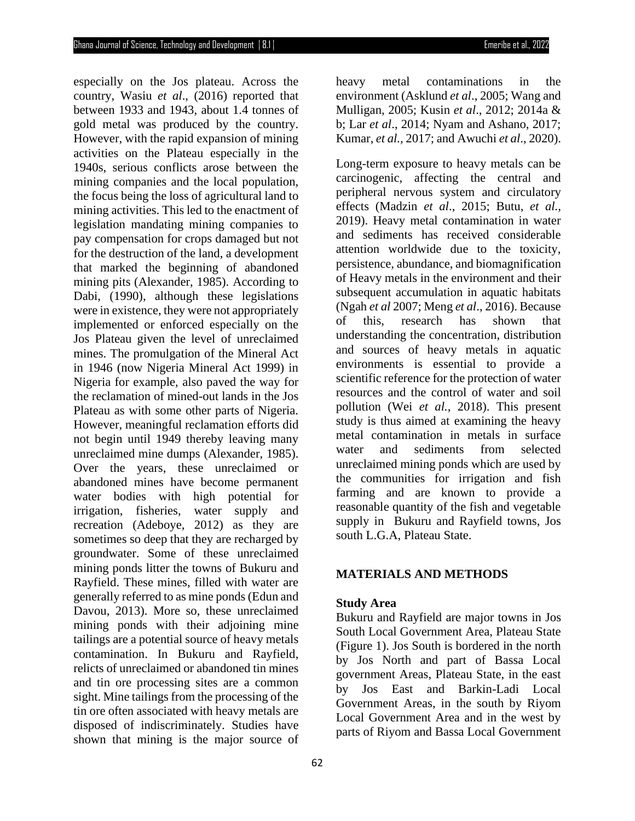especially on the Jos plateau. Across the country, Wasiu *et al*., (2016) reported that between 1933 and 1943, about 1.4 tonnes of gold metal was produced by the country. However, with the rapid expansion of mining activities on the Plateau especially in the 1940s, serious conflicts arose between the mining companies and the local population, the focus being the loss of agricultural land to mining activities. This led to the enactment of legislation mandating mining companies to pay compensation for crops damaged but not for the destruction of the land, a development that marked the beginning of abandoned mining pits (Alexander, 1985). According to Dabi, (1990), although these legislations were in existence, they were not appropriately implemented or enforced especially on the Jos Plateau given the level of unreclaimed mines. The promulgation of the Mineral Act in 1946 (now Nigeria Mineral Act 1999) in Nigeria for example, also paved the way for the reclamation of mined-out lands in the Jos Plateau as with some other parts of Nigeria. However, meaningful reclamation efforts did not begin until 1949 thereby leaving many unreclaimed mine dumps (Alexander, 1985). Over the years, these unreclaimed or abandoned mines have become permanent water bodies with high potential for irrigation, fisheries, water supply and recreation (Adeboye, 2012) as they are sometimes so deep that they are recharged by groundwater. Some of these unreclaimed mining ponds litter the towns of Bukuru and Rayfield. These mines, filled with water are generally referred to as mine ponds (Edun and Davou, 2013). More so, these unreclaimed mining ponds with their adjoining mine tailings are a potential source of heavy metals contamination. In Bukuru and Rayfield, relicts of unreclaimed or abandoned tin mines and tin ore processing sites are a common sight. Mine tailings from the processing of the tin ore often associated with heavy metals are disposed of indiscriminately. Studies have shown that mining is the major source of

heavy metal contaminations in the environment (Asklund *et al*., 2005; Wang and Mulligan, 2005; Kusin *et al*., 2012; 2014a & b; Lar *et al*., 2014; Nyam and Ashano, 2017; Kumar, *et al.,* 2017; and Awuchi *et al*., 2020).

Long-term exposure to heavy metals can be carcinogenic, affecting the central and peripheral nervous system and circulatory effects (Madzin *et al*., 2015; Butu, *et al.,* 2019). Heavy metal contamination in water and sediments has received considerable attention worldwide due to the toxicity, persistence, abundance, and biomagnification of Heavy metals in the environment and their subsequent accumulation in aquatic habitats (Ngah *et al* 2007; Meng *et al*., 2016). Because of this, research has shown that understanding the concentration, distribution and sources of heavy metals in aquatic environments is essential to provide a scientific reference for the protection of water resources and the control of water and soil pollution (Wei *et al.,* 2018). This present study is thus aimed at examining the heavy metal contamination in metals in surface water and sediments from selected unreclaimed mining ponds which are used by the communities for irrigation and fish farming and are known to provide a reasonable quantity of the fish and vegetable supply in Bukuru and Rayfield towns, Jos south L.G.A, Plateau State.

#### **MATERIALS AND METHODS**

#### **Study Area**

Bukuru and Rayfield are major towns in Jos South Local Government Area, Plateau State (Figure 1). Jos South is bordered in the north by Jos North and part of Bassa Local government Areas, Plateau State, in the east by Jos East and Barkin-Ladi Local Government Areas, in the south by Riyom Local Government Area and in the west by parts of Riyom and Bassa Local Government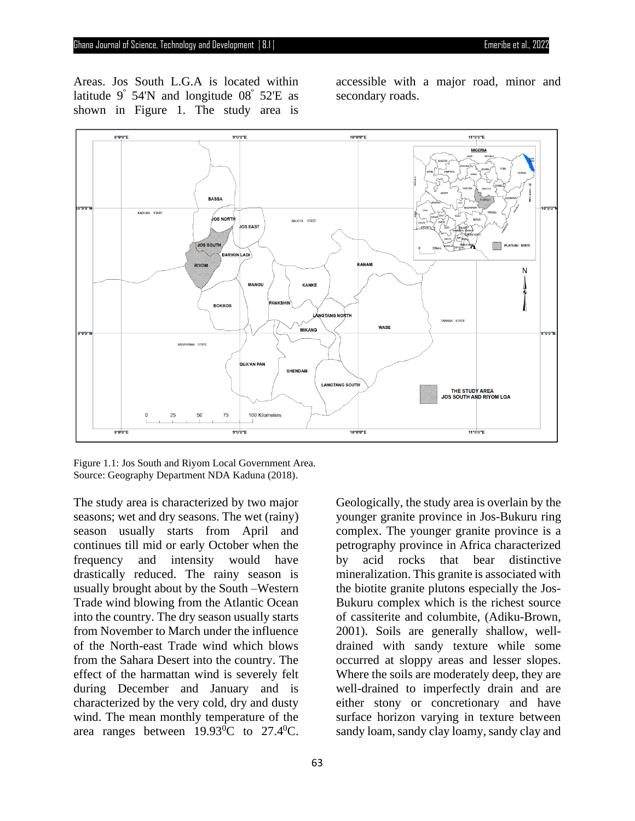Areas. Jos South L.G.A is located within latitude  $9^\circ$  54'N and longitude  $08^\circ$  52'E as shown in Figure 1. The study area is

accessible with a major road, minor and secondary roads.



Figure 1.1: Jos South and Riyom Local Government Area. Source: Geography Department NDA Kaduna (2018).

The study area is characterized by two major seasons; wet and dry seasons. The wet (rainy) season usually starts from April and continues till mid or early October when the frequency and intensity would have drastically reduced. The rainy season is usually brought about by the South –Western Trade wind blowing from the Atlantic Ocean into the country. The dry season usually starts from November to March under the influence of the North-east Trade wind which blows from the Sahara Desert into the country. The effect of the harmattan wind is severely felt during December and January and is characterized by the very cold, dry and dusty wind. The mean monthly temperature of the area ranges between  $19.93^{\circ}$ C to  $27.4^{\circ}$ C.

Geologically, the study area is overlain by the younger granite province in Jos-Bukuru ring complex. The younger granite province is a petrography province in Africa characterized by acid rocks that bear distinctive mineralization. This granite is associated with the biotite granite plutons especially the Jos-Bukuru complex which is the richest source of cassiterite and columbite, (Adiku-Brown, 2001). Soils are generally shallow, welldrained with sandy texture while some occurred at sloppy areas and lesser slopes. Where the soils are moderately deep, they are well-drained to imperfectly drain and are either stony or concretionary and have surface horizon varying in texture between sandy loam, sandy clay loamy, sandy clay and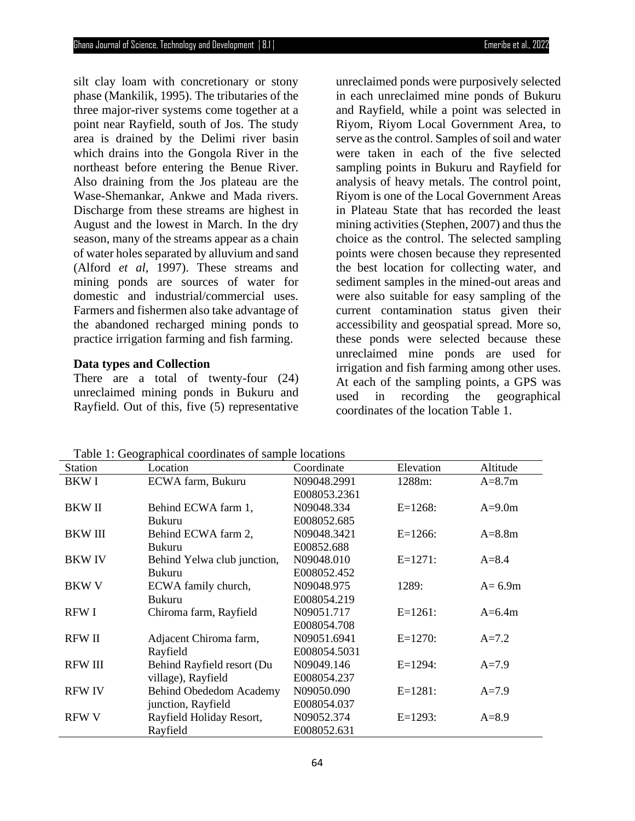silt clay loam with concretionary or stony phase (Mankilik, 1995). The tributaries of the three major-river systems come together at a point near Rayfield, south of Jos. The study area is drained by the Delimi river basin which drains into the Gongola River in the northeast before entering the Benue River. Also draining from the Jos plateau are the Wase-Shemankar, Ankwe and Mada rivers. Discharge from these streams are highest in August and the lowest in March. In the dry season, many of the streams appear as a chain of water holes separated by alluvium and sand (Alford *et al*, 1997). These streams and mining ponds are sources of water for domestic and industrial/commercial uses. Farmers and fishermen also take advantage of the abandoned recharged mining ponds to practice irrigation farming and fish farming.

#### **Data types and Collection**

There are a total of twenty-four  $(24)$ unreclaimed mining ponds in Bukuru and Rayfield. Out of this, five (5) representative

unreclaimed ponds were purposively selected in each unreclaimed mine ponds of Bukuru and Rayfield, while a point was selected in Riyom, Riyom Local Government Area, to serve as the control. Samples of soil and water were taken in each of the five selected sampling points in Bukuru and Rayfield for analysis of heavy metals. The control point, Riyom is one of the Local Government Areas in Plateau State that has recorded the least mining activities (Stephen, 2007) and thus the choice as the control. The selected sampling points were chosen because they represented the best location for collecting water, and sediment samples in the mined-out areas and were also suitable for easy sampling of the current contamination status given their accessibility and geospatial spread. More so, these ponds were selected because these unreclaimed mine ponds are used for irrigation and fish farming among other uses. At each of the sampling points, a GPS was used in recording the geographical coordinates of the location Table 1.

| Station        | Location                    | Coordinate   | Elevation  | Altitude   |
|----------------|-----------------------------|--------------|------------|------------|
| <b>BKWI</b>    | ECWA farm, Bukuru           | N09048.2991  | 1288m:     | $A = 8.7m$ |
|                |                             | E008053.2361 |            |            |
| <b>BKWII</b>   | Behind ECWA farm 1,         | N09048.334   | $E=1268$ : | $A=9.0m$   |
|                | <b>Bukuru</b>               | E008052.685  |            |            |
| <b>BKWIII</b>  | Behind ECWA farm 2,         | N09048.3421  | $E=1266$ : | $A=8.8m$   |
|                | <b>Bukuru</b>               | E00852.688   |            |            |
| <b>BKWIV</b>   | Behind Yelwa club junction, | N09048.010   | $E=1271$ : | $A = 8.4$  |
|                | <b>Bukuru</b>               | E008052.452  |            |            |
| <b>BKW V</b>   | ECWA family church,         | N09048.975   | 1289:      | $A=6.9m$   |
|                | <b>Bukuru</b>               | E008054.219  |            |            |
| <b>RFWI</b>    | Chiroma farm, Rayfield      | N09051.717   | $E=1261$ : | $A=6.4m$   |
|                |                             | E008054.708  |            |            |
| <b>RFW II</b>  | Adjacent Chiroma farm,      | N09051.6941  | $E=1270$ : | $A = 7.2$  |
|                | Rayfield                    | E008054.5031 |            |            |
| <b>RFW III</b> | Behind Rayfield resort (Du  | N09049.146   | $E=1294$ : | $A=7.9$    |
|                | village), Rayfield          | E008054.237  |            |            |
| <b>RFW IV</b>  | Behind Obededom Academy     | N09050.090   | $E=1281$ : | $A=7.9$    |
|                | junction, Rayfield          | E008054.037  |            |            |
| <b>RFW V</b>   | Rayfield Holiday Resort,    | N09052.374   | $E=1293$ : | $A = 8.9$  |
|                | Rayfield                    | E008052.631  |            |            |

Table 1: Geographical coordinates of sample locations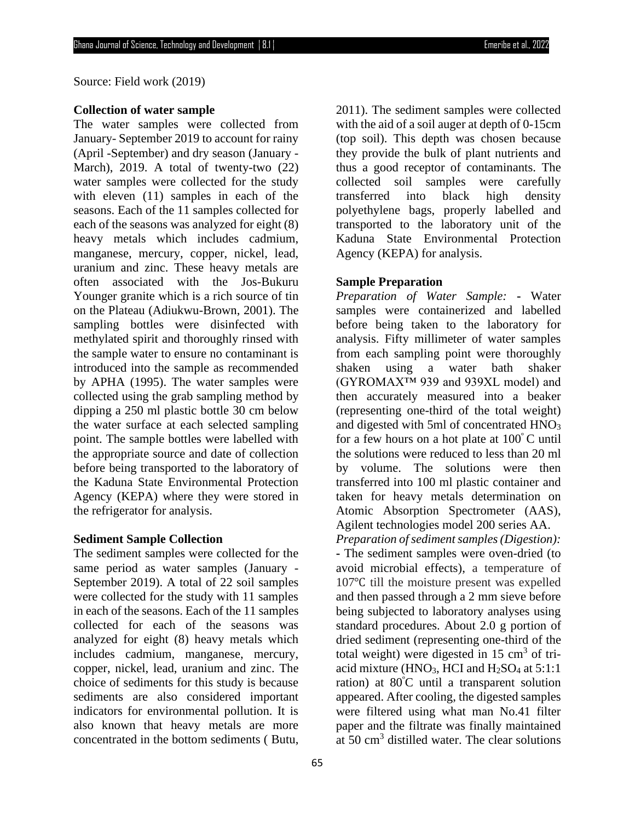Source: Field work (2019)

### **Collection of water sample**

The water samples were collected from January- September 2019 to account for rainy (April -September) and dry season (January - March), 2019. A total of twenty-two (22) water samples were collected for the study with eleven (11) samples in each of the seasons. Each of the 11 samples collected for each of the seasons was analyzed for eight (8) heavy metals which includes cadmium, manganese, mercury, copper, nickel, lead, uranium and zinc. These heavy metals are often associated with the Jos-Bukuru Younger granite which is a rich source of tin on the Plateau (Adiukwu-Brown, 2001). The sampling bottles were disinfected with methylated spirit and thoroughly rinsed with the sample water to ensure no contaminant is introduced into the sample as recommended by APHA (1995). The water samples were collected using the grab sampling method by dipping a 250 ml plastic bottle 30 cm below the water surface at each selected sampling point. The sample bottles were labelled with the appropriate source and date of collection before being transported to the laboratory of the Kaduna State Environmental Protection Agency (KEPA) where they were stored in the refrigerator for analysis.

#### **Sediment Sample Collection**

The sediment samples were collected for the same period as water samples (January - September 2019). A total of 22 soil samples were collected for the study with 11 samples in each of the seasons. Each of the 11 samples collected for each of the seasons was analyzed for eight (8) heavy metals which includes cadmium, manganese, mercury, copper, nickel, lead, uranium and zinc. The choice of sediments for this study is because sediments are also considered important indicators for environmental pollution. It is also known that heavy metals are more concentrated in the bottom sediments ( Butu,

65

2011). The sediment samples were collected with the aid of a soil auger at depth of 0-15cm (top soil). This depth was chosen because they provide the bulk of plant nutrients and thus a good receptor of contaminants. The collected soil samples were carefully transferred into black high density polyethylene bags, properly labelled and transported to the laboratory unit of the Kaduna State Environmental Protection Agency (KEPA) for analysis.

#### **Sample Preparation**

*Preparation of Water Sample:* **-** Water samples were containerized and labelled before being taken to the laboratory for analysis. Fifty millimeter of water samples from each sampling point were thoroughly shaken using a water bath shaker (GYROMAX™ 939 and 939XL model) and then accurately measured into a beaker (representing one-third of the total weight) and digested with 5ml of concentrated HNO<sup>3</sup> for a few hours on a hot plate at  $100^{\circ}$ C until the solutions were reduced to less than 20 ml by volume. The solutions were then transferred into 100 ml plastic container and taken for heavy metals determination on Atomic Absorption Spectrometer (AAS), Agilent technologies model 200 series AA.

*Preparation of sediment samples (Digestion):* **-** The sediment samples were oven-dried (to avoid microbial effects), a temperature of 107℃ till the moisture present was expelled and then passed through a 2 mm sieve before being subjected to laboratory analyses using standard procedures. About 2.0 g portion of dried sediment (representing one-third of the total weight) were digested in  $15 \text{ cm}^3$  of triacid mixture (HNO<sub>3</sub>, HCI and  $H<sub>2</sub>SO<sub>4</sub>$  at 5:1:1 ration) at 80<sup>º</sup>C until a transparent solution appeared. After cooling, the digested samples were filtered using what man No.41 filter paper and the filtrate was finally maintained at 50 cm<sup>3</sup> distilled water. The clear solutions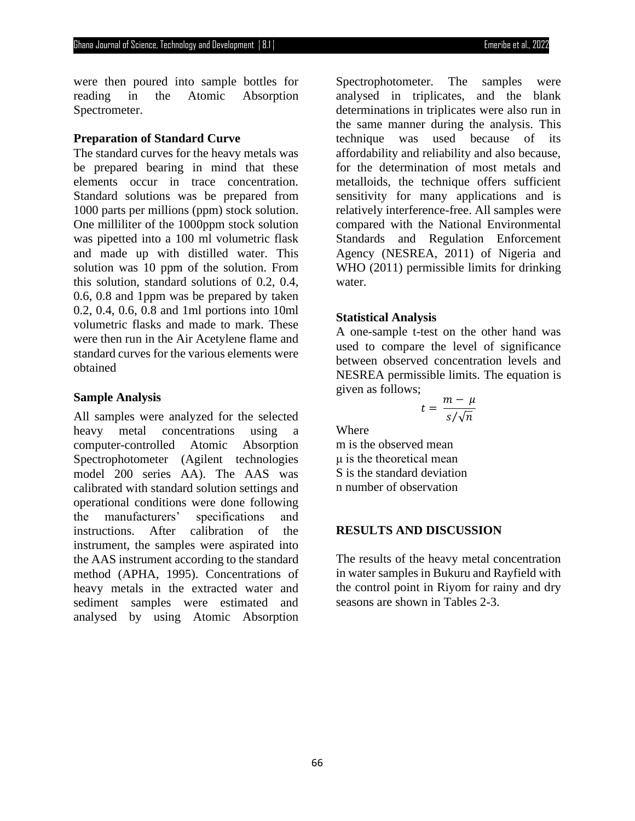were then poured into sample bottles for reading in the Atomic Absorption Spectrometer.

### **Preparation of Standard Curve**

The standard curves for the heavy metals was be prepared bearing in mind that these elements occur in trace concentration. Standard solutions was be prepared from 1000 parts per millions (ppm) stock solution. One milliliter of the 1000ppm stock solution was pipetted into a 100 ml volumetric flask and made up with distilled water. This solution was 10 ppm of the solution. From this solution, standard solutions of 0.2, 0.4, 0.6, 0.8 and 1ppm was be prepared by taken 0.2, 0.4, 0.6, 0.8 and 1ml portions into 10ml volumetric flasks and made to mark. These were then run in the Air Acetylene flame and standard curves for the various elements were obtained

#### **Sample Analysis**

All samples were analyzed for the selected heavy metal concentrations using a computer-controlled Atomic Absorption Spectrophotometer (Agilent technologies model 200 series AA). The AAS was calibrated with standard solution settings and operational conditions were done following the manufacturers' specifications and instructions. After calibration of the instrument, the samples were aspirated into the AAS instrument according to the standard method (APHA, 1995). Concentrations of heavy metals in the extracted water and sediment samples were estimated and analysed by using Atomic Absorption

Spectrophotometer. The samples were analysed in triplicates, and the blank determinations in triplicates were also run in the same manner during the analysis. This technique was used because of its affordability and reliability and also because, for the determination of most metals and metalloids, the technique offers sufficient sensitivity for many applications and is relatively interference-free. All samples were compared with the National Environmental Standards and Regulation Enforcement Agency (NESREA, 2011) of Nigeria and WHO (2011) permissible limits for drinking water.

#### **Statistical Analysis**

A one-sample t-test on the other hand was used to compare the level of significance between observed concentration levels and NESREA permissible limits. The equation is given as follows;

$$
t = \frac{m - \mu}{s / \sqrt{n}}
$$

**Where** 

m is the observed mean μ is the theoretical mean S is the standard deviation n number of observation

### **RESULTS AND DISCUSSION**

The results of the heavy metal concentration in water samples in Bukuru and Rayfield with the control point in Riyom for rainy and dry seasons are shown in Tables 2-3.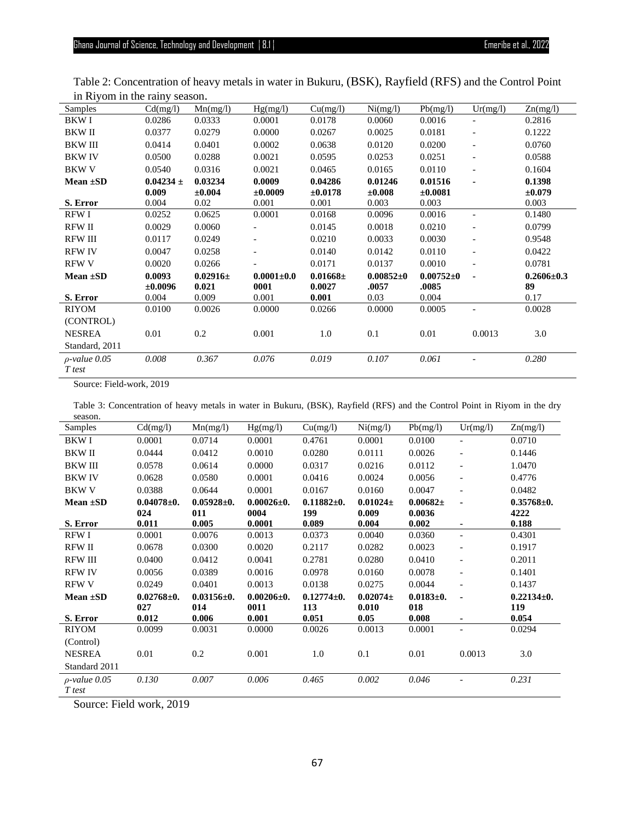| Samples            | Cd(mg/l)      | Mn(mg/l)     | Hg(mg/l)         | Cu(mg/l)      | Ni(mg/l)      | Pb(mg/l)        | Ur(mg/l)                 | Zn(mg/l)         |
|--------------------|---------------|--------------|------------------|---------------|---------------|-----------------|--------------------------|------------------|
| BKW I              | 0.0286        | 0.0333       | 0.0001           | 0.0178        | 0.0060        | 0.0016          |                          | 0.2816           |
| <b>BKWII</b>       | 0.0377        | 0.0279       | 0.0000           | 0.0267        | 0.0025        | 0.0181          | $\overline{\phantom{a}}$ | 0.1222           |
| <b>BKWIII</b>      | 0.0414        | 0.0401       | 0.0002           | 0.0638        | 0.0120        | 0.0200          |                          | 0.0760           |
| <b>BKWIV</b>       | 0.0500        | 0.0288       | 0.0021           | 0.0595        | 0.0253        | 0.0251          | $\overline{\phantom{0}}$ | 0.0588           |
| <b>BKW V</b>       | 0.0540        | 0.0316       | 0.0021           | 0.0465        | 0.0165        | 0.0110          | $\qquad \qquad -$        | 0.1604           |
| Mean $\pm SD$      | $0.04234 \pm$ | 0.03234      | 0.0009           | 0.04286       | 0.01246       | 0.01516         |                          | 0.1398           |
|                    | 0.009         | $\pm 0.004$  | ±0.0009          | $\pm 0.0178$  | $\pm 0.008$   | $\pm 0.0081$    |                          | ±0.079           |
| S. Error           | 0.004         | 0.02         | 0.001            | 0.001         | 0.003         | 0.003           |                          | 0.003            |
| RFW I              | 0.0252        | 0.0625       | 0.0001           | 0.0168        | 0.0096        | 0.0016          |                          | 0.1480           |
| <b>RFW II</b>      | 0.0029        | 0.0060       |                  | 0.0145        | 0.0018        | 0.0210          | $\overline{\phantom{a}}$ | 0.0799           |
| <b>RFW III</b>     | 0.0117        | 0.0249       |                  | 0.0210        | 0.0033        | 0.0030          | $\overline{\phantom{a}}$ | 0.9548           |
| <b>RFW IV</b>      | 0.0047        | 0.0258       |                  | 0.0140        | 0.0142        | 0.0110          |                          | 0.0422           |
| <b>RFW V</b>       | 0.0020        | 0.0266       | ۰                | 0.0171        | 0.0137        | 0.0010          | $\overline{\phantom{0}}$ | 0.0781           |
| Mean $\pm SD$      | 0.0093        | $0.02916\pm$ | $0.0001 \pm 0.0$ | $0.01668 \pm$ | $0.00852 + 0$ | $0.00752 \pm 0$ | ٠                        | $0.2606 \pm 0.3$ |
|                    | $\pm 0.0096$  | 0.021        | 0001             | 0.0027        | .0057         | .0085           |                          | 89               |
| S. Error           | 0.004         | 0.009        | 0.001            | 0.001         | 0.03          | 0.004           |                          | 0.17             |
| <b>RIYOM</b>       | 0.0100        | 0.0026       | 0.0000           | 0.0266        | 0.0000        | 0.0005          |                          | 0.0028           |
| (CONTROL)          |               |              |                  |               |               |                 |                          |                  |
| <b>NESREA</b>      | 0.01          | 0.2          | 0.001            | 1.0           | 0.1           | 0.01            | 0.0013                   | 3.0              |
| Standard, 2011     |               |              |                  |               |               |                 |                          |                  |
| $\rho$ -value 0.05 | 0.008         | 0.367        | 0.076            | 0.019         | 0.107         | 0.061           |                          | 0.280            |
| T test             |               |              |                  |               |               |                 |                          |                  |

Table 2: Concentration of heavy metals in water in Bukuru, (BSK), Rayfield (RFS) and the Control Point in Riyom in the rainy season.

Source: Field-work, 2019

Table 3: Concentration of heavy metals in water in Bukuru, (BSK), Rayfield (RFS) and the Control Point in Riyom in the dry season.

| Samples                      | Cd(mg/l)         | Mn(mg/l)         | Hg(mg/l)         | Cu(mg/l)         | Ni(mg/l)     | Pb(mg/l)        | Ur(mg/l)                 | Zn(mg/l)         |
|------------------------------|------------------|------------------|------------------|------------------|--------------|-----------------|--------------------------|------------------|
| <b>BKWI</b>                  | 0.0001           | 0.0714           | 0.0001           | 0.4761           | 0.0001       | 0.0100          | $\overline{\phantom{a}}$ | 0.0710           |
| <b>BKWII</b>                 | 0.0444           | 0.0412           | 0.0010           | 0.0280           | 0.0111       | 0.0026          | $\qquad \qquad -$        | 0.1446           |
| <b>BKWIII</b>                | 0.0578           | 0.0614           | 0.0000           | 0.0317           | 0.0216       | 0.0112          |                          | 1.0470           |
| <b>BKWIV</b>                 | 0.0628           | 0.0580           | 0.0001           | 0.0416           | 0.0024       | 0.0056          | $\overline{\phantom{a}}$ | 0.4776           |
| <b>BKW V</b>                 | 0.0388           | 0.0644           | 0.0001           | 0.0167           | 0.0160       | 0.0047          |                          | 0.0482           |
| Mean $\pm SD$                | $0.04078 \pm 0.$ | $0.05928 \pm 0.$ | $0.00026 \pm 0.$ | $0.11882\pm0.$   | $0.01024\pm$ | $0.00682\pm$    |                          | $0.35768 + 0.$   |
|                              | 024              | 011              | 0004             | 199              | 0.009        | 0.0036          |                          | 4222             |
| S. Error                     | 0.011            | 0.005            | 0.0001           | 0.089            | 0.004        | 0.002           |                          | 0.188            |
| RFW I                        | 0.0001           | 0.0076           | 0.0013           | 0.0373           | 0.0040       | 0.0360          |                          | 0.4301           |
| <b>RFW II</b>                | 0.0678           | 0.0300           | 0.0020           | 0.2117           | 0.0282       | 0.0023          | $\overline{\phantom{a}}$ | 0.1917           |
| <b>RFW III</b>               | 0.0400           | 0.0412           | 0.0041           | 0.2781           | 0.0280       | 0.0410          | $\overline{\phantom{a}}$ | 0.2011           |
| <b>RFW IV</b>                | 0.0056           | 0.0389           | 0.0016           | 0.0978           | 0.0160       | 0.0078          | $\overline{\phantom{a}}$ | 0.1401           |
| <b>RFW V</b>                 | 0.0249           | 0.0401           | 0.0013           | 0.0138           | 0.0275       | 0.0044          |                          | 0.1437           |
| Mean $\pm SD$                | $0.02768 \pm 0.$ | $0.03156 \pm 0.$ | $0.00206 \pm 0.$ | $0.12774 \pm 0.$ | $0.02074\pm$ | $0.0183 \pm 0.$ | $\blacksquare$           | $0.22134 \pm 0.$ |
|                              | 027              | 014              | 0011             | 113              | 0.010        | 018             |                          | 119              |
| S. Error                     | 0.012            | 0.006            | 0.001            | 0.051            | 0.05         | 0.008           |                          | 0.054            |
| <b>RIYOM</b>                 | 0.0099           | 0.0031           | 0.0000           | 0.0026           | 0.0013       | 0.0001          | $\overline{\phantom{a}}$ | 0.0294           |
| (Control)                    |                  |                  |                  |                  |              |                 |                          |                  |
| <b>NESREA</b>                | 0.01             | 0.2              | 0.001            | 1.0              | 0.1          | 0.01            | 0.0013                   | 3.0              |
| Standard 2011                |                  |                  |                  |                  |              |                 |                          |                  |
| $\rho$ -value 0.05<br>T test | 0.130            | 0.007            | 0.006            | 0.465            | 0.002        | 0.046           |                          | 0.231            |

Source: Field work, 2019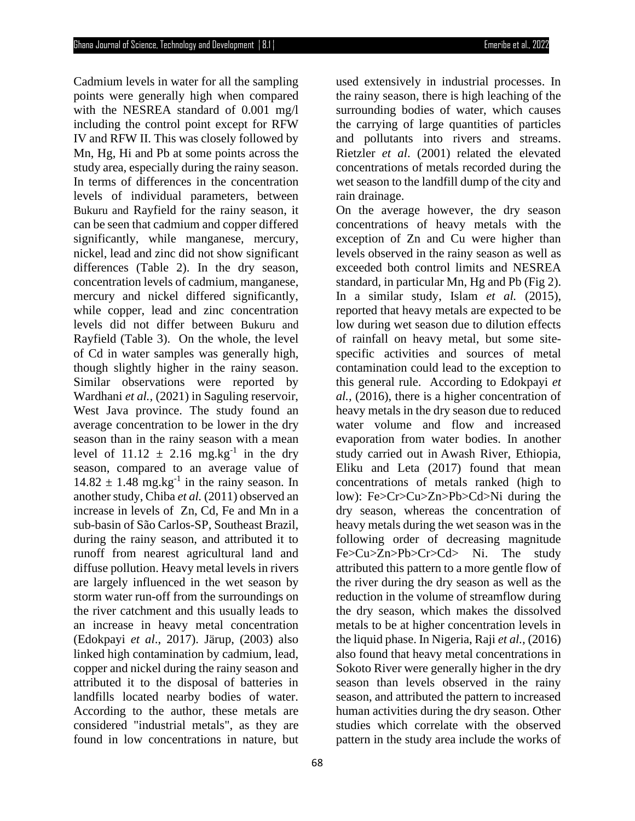Cadmium levels in water for all the sampling points were generally high when compared with the NESREA standard of 0.001 mg/l including the control point except for RFW IV and RFW II. This was closely followed by Mn, Hg, Hi and Pb at some points across the study area, especially during the rainy season. In terms of differences in the concentration levels of individual parameters, between Bukuru and Rayfield for the rainy season, it can be seen that cadmium and copper differed significantly, while manganese, mercury, nickel, lead and zinc did not show significant differences (Table 2). In the dry season, concentration levels of cadmium, manganese, mercury and nickel differed significantly, while copper, lead and zinc concentration levels did not differ between Bukuru and Rayfield (Table 3). On the whole, the level of Cd in water samples was generally high, though slightly higher in the rainy season. Similar observations were reported by Wardhani *et al.,* (2021) in Saguling reservoir, West Java province. The study found an average concentration to be lower in the dry season than in the rainy season with a mean level of  $11.12 \pm 2.16$  mg.kg<sup>-1</sup> in the dry season, compared to an average value of  $14.82 \pm 1.48$  mg.kg<sup>-1</sup> in the rainy season. In another study, Chiba *et al.* (2011) observed an increase in levels of Zn, Cd, Fe and Mn in a sub-basin of São Carlos-SP, Southeast Brazil, during the rainy season, and attributed it to runoff from nearest agricultural land and diffuse pollution. Heavy metal levels in rivers are largely influenced in the wet season by storm water run-off from the surroundings on the river catchment and this usually leads to an increase in heavy metal concentration (Edokpayi *et al*., 2017). Järup, (2003) also linked high contamination by cadmium, lead, copper and nickel during the rainy season and attributed it to the disposal of batteries in landfills located nearby bodies of water. According to the author, these metals are considered "industrial metals", as they are found in low concentrations in nature, but

used extensively in industrial processes. In the rainy season, there is high leaching of the surrounding bodies of water, which causes the carrying of large quantities of particles and pollutants into rivers and streams. Rietzler *et al*. (2001) related the elevated concentrations of metals recorded during the wet season to the landfill dump of the city and rain drainage.

On the average however, the dry season concentrations of heavy metals with the exception of Zn and Cu were higher than levels observed in the rainy season as well as exceeded both control limits and NESREA standard, in particular Mn, Hg and Pb (Fig 2). In a similar study, Islam *et al.* (2015), reported that heavy metals are expected to be low during wet season due to dilution effects of rainfall on heavy metal, but some sitespecific activities and sources of metal contamination could lead to the exception to this general rule. According to Edokpayi *et al.,* (2016), there is a higher concentration of heavy metals in the dry season due to reduced water volume and flow and increased evaporation from water bodies. In another study carried out in Awash River, Ethiopia, Eliku and Leta (2017) found that mean concentrations of metals ranked (high to low): Fe>Cr>Cu>Zn>Pb>Cd>Ni during the dry season, whereas the concentration of heavy metals during the wet season was in the following order of decreasing magnitude Fe>Cu>Zn>Pb>Cr>Cd> Ni. The study attributed this pattern to a more gentle flow of the river during the dry season as well as the reduction in the volume of streamflow during the dry season, which makes the dissolved metals to be at higher concentration levels in the liquid phase. In Nigeria, Raji *et al.,* (2016) also found that heavy metal concentrations in Sokoto River were generally higher in the dry season than levels observed in the rainy season, and attributed the pattern to increased human activities during the dry season. Other studies which correlate with the observed pattern in the study area include the works of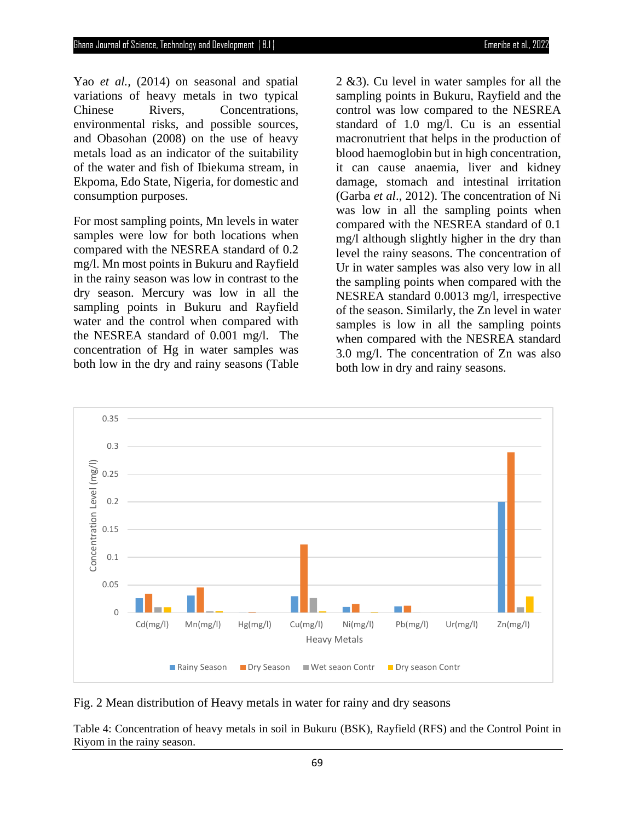Yao *et al.,* (2014) on seasonal and spatial variations of heavy metals in two typical Chinese Rivers, Concentrations, environmental risks, and possible sources, and Obasohan (2008) on the use of heavy metals load as an indicator of the suitability of the water and fish of Ibiekuma stream, in Ekpoma, Edo State, Nigeria, for domestic and consumption purposes.

For most sampling points, Mn levels in water samples were low for both locations when compared with the NESREA standard of 0.2 mg/l. Mn most points in Bukuru and Rayfield in the rainy season was low in contrast to the dry season. Mercury was low in all the sampling points in Bukuru and Rayfield water and the control when compared with the NESREA standard of 0.001 mg/l. The concentration of Hg in water samples was both low in the dry and rainy seasons (Table

2 &3). Cu level in water samples for all the sampling points in Bukuru, Rayfield and the control was low compared to the NESREA standard of 1.0 mg/l. Cu is an essential macronutrient that helps in the production of blood haemoglobin but in high concentration, it can cause anaemia, liver and kidney damage, stomach and intestinal irritation (Garba *et al*., 2012). The concentration of Ni was low in all the sampling points when compared with the NESREA standard of 0.1 mg/l although slightly higher in the dry than level the rainy seasons. The concentration of Ur in water samples was also very low in all the sampling points when compared with the NESREA standard 0.0013 mg/l, irrespective of the season. Similarly, the Zn level in water samples is low in all the sampling points when compared with the NESREA standard 3.0 mg/l. The concentration of Zn was also both low in dry and rainy seasons.



Fig. 2 Mean distribution of Heavy metals in water for rainy and dry seasons

Table 4: Concentration of heavy metals in soil in Bukuru (BSK), Rayfield (RFS) and the Control Point in Riyom in the rainy season.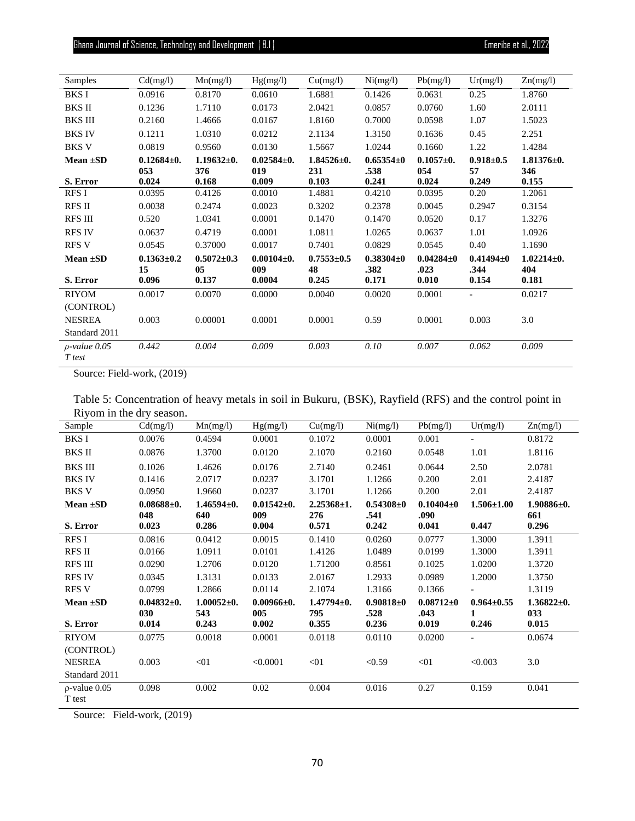| Samples                        | Cd(mg/l)                        | Mn(mg/l)                        | Hg(mg/l)                          | Cu(mg/l)                        | Ni(mg/l)                         | Pb(mg/l)                         | Ur(mg/l)                         | Zn(mg/l)                       |
|--------------------------------|---------------------------------|---------------------------------|-----------------------------------|---------------------------------|----------------------------------|----------------------------------|----------------------------------|--------------------------------|
| <b>BKS I</b>                   | 0.0916                          | 0.8170                          | 0.0610                            | 1.6881                          | 0.1426                           | 0.0631                           | 0.25                             | 1.8760                         |
| <b>BKS II</b>                  | 0.1236                          | 1.7110                          | 0.0173                            | 2.0421                          | 0.0857                           | 0.0760                           | 1.60                             | 2.0111                         |
| <b>BKS III</b>                 | 0.2160                          | 1.4666                          | 0.0167                            | 1.8160                          | 0.7000                           | 0.0598                           | 1.07                             | 1.5023                         |
| <b>BKS IV</b>                  | 0.1211                          | 1.0310                          | 0.0212                            | 2.1134                          | 1.3150                           | 0.1636                           | 0.45                             | 2.251                          |
| <b>BKS V</b>                   | 0.0819                          | 0.9560                          | 0.0130                            | 1.5667                          | 1.0244                           | 0.1660                           | 1.22                             | 1.4284                         |
| Mean $\pm SD$                  | $0.12684\pm0.$<br>053           | $1.19632\pm0.$<br>376           | $0.02584 \pm 0.$<br>019           | $1.84526 \pm 0.$<br>231         | $0.65354\pm0$<br>.538            | $0.1057 + 0.$<br>054             | $0.918 \pm 0.5$<br>57            | $1.81376 \pm 0.$<br>346        |
| S. Error                       | 0.024                           | 0.168                           | 0.009                             | 0.103                           | 0.241                            | 0.024                            | 0.249                            | 0.155                          |
| RFS I                          | 0.0395                          | 0.4126                          | 0.0010                            | 1.4881                          | 0.4210                           | 0.0395                           | 0.20                             | 1.2061                         |
| <b>RFS II</b>                  | 0.0038                          | 0.2474                          | 0.0023                            | 0.3202                          | 0.2378                           | 0.0045                           | 0.2947                           | 0.3154                         |
| <b>RFS III</b>                 | 0.520                           | 1.0341                          | 0.0001                            | 0.1470                          | 0.1470                           | 0.0520                           | 0.17                             | 1.3276                         |
| <b>RFS IV</b>                  | 0.0637                          | 0.4719                          | 0.0001                            | 1.0811                          | 1.0265                           | 0.0637                           | 1.01                             | 1.0926                         |
| <b>RFS V</b>                   | 0.0545                          | 0.37000                         | 0.0017                            | 0.7401                          | 0.0829                           | 0.0545                           | 0.40                             | 1.1690                         |
| Mean $\pm SD$<br>S. Error      | $0.1363 \pm 0.2$<br>15<br>0.096 | $0.5072 \pm 0.3$<br>05<br>0.137 | $0.00104 \pm 0.$<br>009<br>0.0004 | $0.7553 \pm 0.5$<br>48<br>0.245 | $0.38304 \pm 0$<br>.382<br>0.171 | $0.04284 \pm 0$<br>.023<br>0.010 | $0.41494 \pm 0$<br>.344<br>0.154 | $1.02214\pm0.$<br>404<br>0.181 |
| <b>RIYOM</b>                   | 0.0017                          | 0.0070                          | 0.0000                            | 0.0040                          | 0.0020                           | 0.0001                           |                                  | 0.0217                         |
| (CONTROL)                      |                                 |                                 |                                   |                                 |                                  |                                  |                                  |                                |
| <b>NESREA</b><br>Standard 2011 | 0.003                           | 0.00001                         | 0.0001                            | 0.0001                          | 0.59                             | 0.0001                           | 0.003                            | 3.0                            |
| $\rho$ -value 0.05<br>T test   | 0.442                           | 0.004                           | 0.009                             | 0.003                           | 0.10                             | 0.007                            | 0.062                            | 0.009                          |

Source: Field-work, (2019)

Table 5: Concentration of heavy metals in soil in Bukuru, (BSK), Rayfield (RFS) and the control point in Riyom in the dry season.

| Sample                       | Cd(mg/l)         | Mn(mg/l)         | Hg(mg/l)         | Cu(mg/l)         | Ni(mg/l)      | Pb(mg/l)        | Ur(mg/l)                 | Zn(mg/l)         |
|------------------------------|------------------|------------------|------------------|------------------|---------------|-----------------|--------------------------|------------------|
| BKS I                        | 0.0076           | 0.4594           | 0.0001           | 0.1072           | 0.0001        | 0.001           | $\overline{\phantom{0}}$ | 0.8172           |
| BKS II                       | 0.0876           | 1.3700           | 0.0120           | 2.1070           | 0.2160        | 0.0548          | 1.01                     | 1.8116           |
| <b>BKS III</b>               | 0.1026           | 1.4626           | 0.0176           | 2.7140           | 0.2461        | 0.0644          | 2.50                     | 2.0781           |
| <b>BKS IV</b>                | 0.1416           | 2.0717           | 0.0237           | 3.1701           | 1.1266        | 0.200           | 2.01                     | 2.4187           |
| BKS V                        | 0.0950           | 1.9660           | 0.0237           | 3.1701           | 1.1266        | 0.200           | 2.01                     | 2.4187           |
| Mean $\pm SD$                | $0.08688 \pm 0.$ | $1.46594\pm0.$   | $0.01542 \pm 0.$ | $2.25368 \pm 1.$ | $0.54308 + 0$ | $0.10404 \pm 0$ | $1.506 \pm 1.00$         | $1.90886 \pm 0.$ |
|                              | 048              | 640              | 009              | 276              | .541          | .090            |                          | 661              |
| S. Error                     | 0.023            | 0.286            | 0.004            | 0.571            | 0.242         | 0.041           | 0.447                    | 0.296            |
| RFS I                        | 0.0816           | 0.0412           | 0.0015           | 0.1410           | 0.0260        | 0.0777          | 1.3000                   | 1.3911           |
| <b>RFS II</b>                | 0.0166           | 1.0911           | 0.0101           | 1.4126           | 1.0489        | 0.0199          | 1.3000                   | 1.3911           |
| RFS III                      | 0.0290           | 1.2706           | 0.0120           | 1.71200          | 0.8561        | 0.1025          | 1.0200                   | 1.3720           |
| <b>RFS IV</b>                | 0.0345           | 1.3131           | 0.0133           | 2.0167           | 1.2933        | 0.0989          | 1.2000                   | 1.3750           |
| <b>RFS V</b>                 | 0.0799           | 1.2866           | 0.0114           | 2.1074           | 1.3166        | 0.1366          |                          | 1.3119           |
| Mean $\pm SD$                | $0.04832 + 0.$   | $1.00052 \pm 0.$ | $0.00966 \pm 0.$ | $1.47794 \pm 0.$ | $0.90818 + 0$ | $0.08712 \pm 0$ | $0.964 \pm 0.55$         | $1.36822 \pm 0.$ |
|                              | 030              | 543              | 005              | 795              | .528          | .043            |                          | 033              |
| S. Error                     | 0.014            | 0.243            | 0.002            | 0.355            | 0.236         | 0.019           | 0.246                    | 0.015            |
| <b>RIYOM</b>                 | 0.0775           | 0.0018           | 0.0001           | 0.0118           | 0.0110        | 0.0200          | $\overline{a}$           | 0.0674           |
| (CONTROL)                    |                  |                  |                  |                  |               |                 |                          |                  |
| <b>NESREA</b>                | 0.003            | < 01             | < 0.0001         | < 01             | < 0.59        | < 01            | < 0.003                  | 3.0              |
| Standard 2011                |                  |                  |                  |                  |               |                 |                          |                  |
| $\rho$ -value 0.05<br>T test | 0.098            | 0.002            | 0.02             | 0.004            | 0.016         | 0.27            | 0.159                    | 0.041            |

Source: Field-work, (2019)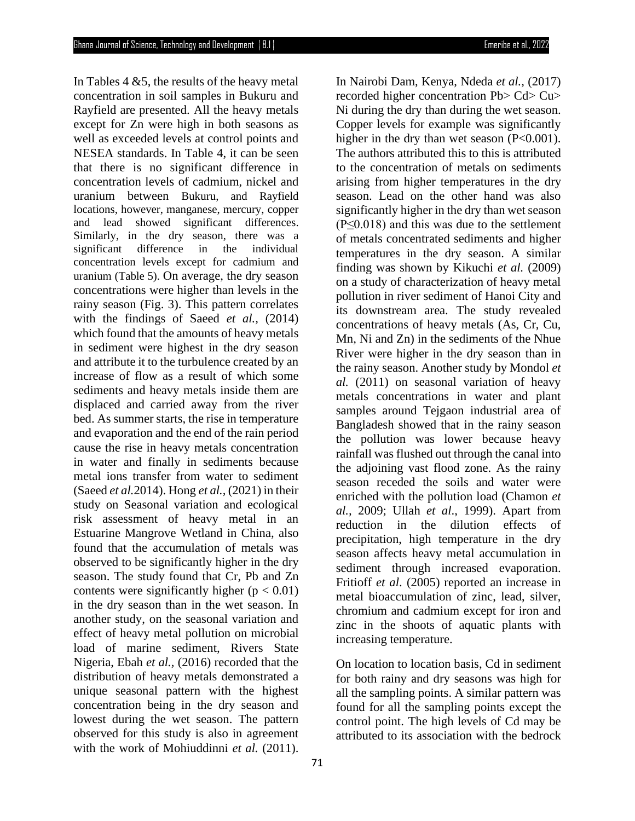In Tables  $4 \& 5$ , the results of the heavy metal concentration in soil samples in Bukuru and Rayfield are presented. All the heavy metals except for Zn were high in both seasons as well as exceeded levels at control points and NESEA standards. In Table 4, it can be seen that there is no significant difference in concentration levels of cadmium, nickel and uranium between Bukuru, and Rayfield locations, however, manganese, mercury, copper and lead showed significant differences. Similarly, in the dry season, there was a significant difference in the individual concentration levels except for cadmium and uranium (Table 5). On average, the dry season concentrations were higher than levels in the rainy season (Fig. 3). This pattern correlates with the findings of Saeed *et al.,* (2014) which found that the amounts of heavy metals in sediment were highest in the dry season and attribute it to the turbulence created by an increase of flow as a result of which some sediments and heavy metals inside them are displaced and carried away from the river bed. As summer starts, the rise in temperature and evaporation and the end of the rain period cause the rise in heavy metals concentration in water and finally in sediments because metal ions transfer from water to sediment (Saeed *et al.*2014). Hong *et al.,* (2021) in their study on Seasonal variation and ecological risk assessment of heavy metal in an Estuarine Mangrove Wetland in China, also found that the accumulation of metals was observed to be significantly higher in the dry season. The study found that Cr, Pb and Zn contents were significantly higher ( $p < 0.01$ ) in the dry season than in the wet season. In another study, on the seasonal variation and effect of heavy metal pollution on microbial load of marine sediment, Rivers State Nigeria, Ebah *et al.,* (2016) recorded that the distribution of heavy metals demonstrated a unique seasonal pattern with the highest concentration being in the dry season and lowest during the wet season. The pattern observed for this study is also in agreement with the work of Mohiuddinni *et al.* (2011).

In Nairobi Dam, Kenya, Ndeda *et al.,* (2017) recorded higher concentration Pb> Cd> Cu> Ni during the dry than during the wet season. Copper levels for example was significantly higher in the dry than wet season (P<0.001). The authors attributed this to this is attributed to the concentration of metals on sediments arising from higher temperatures in the dry season. Lead on the other hand was also significantly higher in the dry than wet season  $(P \le 0.018)$  and this was due to the settlement of metals concentrated sediments and higher temperatures in the dry season. A similar finding was shown by Kikuchi *et al.* (2009) on a study of characterization of heavy metal pollution in river sediment of Hanoi City and its downstream area. The study revealed concentrations of heavy metals (As, Cr, Cu, Mn, Ni and Zn) in the sediments of the Nhue River were higher in the dry season than in the rainy season. Another study by Mondol *et al.* (2011) on seasonal variation of heavy metals concentrations in water and plant samples around Tejgaon industrial area of Bangladesh showed that in the rainy season the pollution was lower because heavy rainfall was flushed out through the canal into the adjoining vast flood zone. As the rainy season receded the soils and water were enriched with the pollution load (Chamon *et al.,* 2009; Ullah *et al*., 1999). Apart from reduction in the dilution effects of precipitation, high temperature in the dry season affects heavy metal accumulation in sediment through increased evaporation. Fritioff *et al*. (2005) reported an increase in metal bioaccumulation of zinc, lead, silver, chromium and cadmium except for iron and zinc in the shoots of aquatic plants with increasing temperature.

On location to location basis, Cd in sediment for both rainy and dry seasons was high for all the sampling points. A similar pattern was found for all the sampling points except the control point. The high levels of Cd may be attributed to its association with the bedrock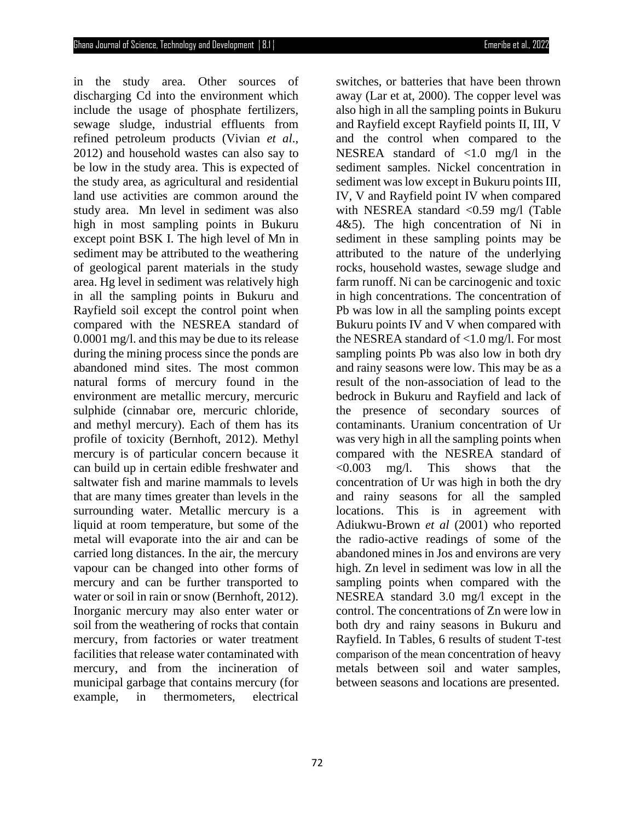in the study area. Other sources of discharging Cd into the environment which include the usage of phosphate fertilizers, sewage sludge, industrial effluents from refined petroleum products (Vivian *et al*., 2012) and household wastes can also say to be low in the study area. This is expected of the study area, as agricultural and residential land use activities are common around the study area. Mn level in sediment was also high in most sampling points in Bukuru except point BSK I. The high level of Mn in sediment may be attributed to the weathering of geological parent materials in the study area. Hg level in sediment was relatively high in all the sampling points in Bukuru and Rayfield soil except the control point when compared with the NESREA standard of 0.0001 mg/l. and this may be due to its release during the mining process since the ponds are abandoned mind sites. The most common natural forms of mercury found in the environment are metallic mercury, mercuric sulphide (cinnabar ore, mercuric chloride, and methyl mercury). Each of them has its profile of toxicity (Bernhoft, 2012). Methyl mercury is of particular concern because it can build up in certain edible freshwater and saltwater fish and marine mammals to levels that are many times greater than levels in the surrounding water. Metallic mercury is a liquid at room temperature, but some of the metal will evaporate into the air and can be carried long distances. In the air, the mercury vapour can be changed into other forms of mercury and can be further transported to water or soil in rain or snow (Bernhoft, 2012). Inorganic mercury may also enter water or soil from the weathering of rocks that contain mercury, from factories or water treatment facilities that release water contaminated with mercury, and from the incineration of municipal garbage that contains mercury (for example, in thermometers, electrical

switches, or batteries that have been thrown away (Lar et at, 2000). The copper level was also high in all the sampling points in Bukuru and Rayfield except Rayfield points II, III, V and the control when compared to the NESREA standard of <1.0 mg/l in the sediment samples. Nickel concentration in sediment was low except in Bukuru points III, IV, V and Rayfield point IV when compared with NESREA standard <0.59 mg/l (Table 4&5). The high concentration of Ni in sediment in these sampling points may be attributed to the nature of the underlying rocks, household wastes, sewage sludge and farm runoff. Ni can be carcinogenic and toxic in high concentrations. The concentration of Pb was low in all the sampling points except Bukuru points IV and V when compared with the NESREA standard of <1.0 mg/l. For most sampling points Pb was also low in both dry and rainy seasons were low. This may be as a result of the non-association of lead to the bedrock in Bukuru and Rayfield and lack of the presence of secondary sources of contaminants. Uranium concentration of Ur was very high in all the sampling points when compared with the NESREA standard of <0.003 mg/l. This shows that the concentration of Ur was high in both the dry and rainy seasons for all the sampled locations. This is in agreement with Adiukwu-Brown *et al* (2001) who reported the radio-active readings of some of the abandoned mines in Jos and environs are very high. Zn level in sediment was low in all the sampling points when compared with the NESREA standard 3.0 mg/l except in the control. The concentrations of Zn were low in both dry and rainy seasons in Bukuru and Rayfield. In Tables, 6 results of student T-test comparison of the mean concentration of heavy metals between soil and water samples, between seasons and locations are presented.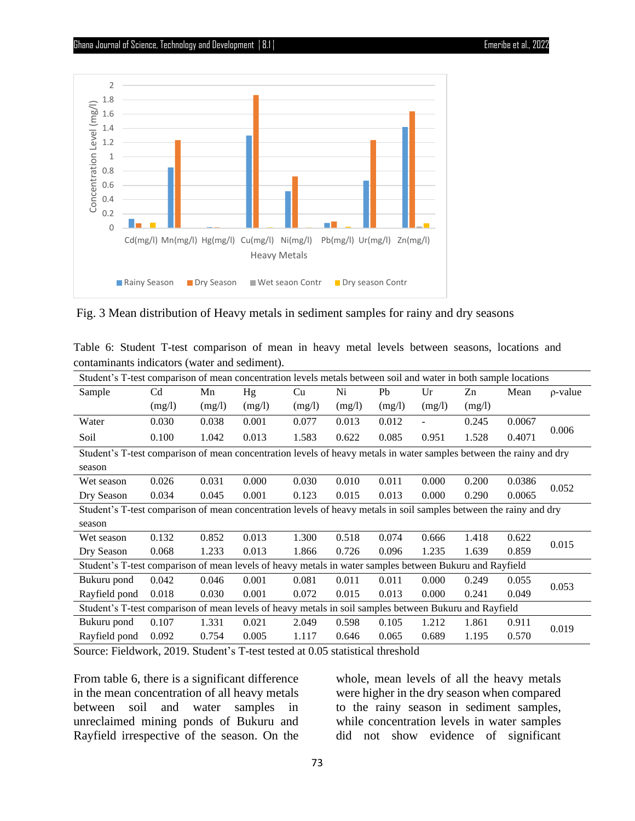

Fig. 3 Mean distribution of Heavy metals in sediment samples for rainy and dry seasons

|  |  | Table 6: Student T-test comparison of mean in heavy metal levels between seasons, locations and |  |  |  |  |  |
|--|--|-------------------------------------------------------------------------------------------------|--|--|--|--|--|
|  |  | contaminants indicators (water and sediment).                                                   |  |  |  |  |  |

| Student's T-test comparison of mean concentration levels metals between soil and water in both sample locations    |                                                                                                                     |        |        |        |        |        |                |        |        |               |  |
|--------------------------------------------------------------------------------------------------------------------|---------------------------------------------------------------------------------------------------------------------|--------|--------|--------|--------|--------|----------------|--------|--------|---------------|--|
| Sample                                                                                                             | C <sub>d</sub>                                                                                                      | Mn     | Hg     | Cu     | Ni     | Pb     | Ur             | Zn     | Mean   | $\rho$ -value |  |
|                                                                                                                    | (mg/l)                                                                                                              | (mg/l) | (mg/l) | (mg/l) | (mg/l) | (mg/l) | (mg/l)         | (mg/l) |        |               |  |
| Water                                                                                                              | 0.030                                                                                                               | 0.038  | 0.001  | 0.077  | 0.013  | 0.012  | $\blacksquare$ | 0.245  | 0.0067 |               |  |
| Soil                                                                                                               | 0.100                                                                                                               | 1.042  | 0.013  | 1.583  | 0.622  | 0.085  | 0.951          | 1.528  | 0.4071 | 0.006         |  |
|                                                                                                                    | Student's T-test comparison of mean concentration levels of heavy metals in water samples between the rainy and dry |        |        |        |        |        |                |        |        |               |  |
| season                                                                                                             |                                                                                                                     |        |        |        |        |        |                |        |        |               |  |
| Wet season                                                                                                         | 0.026                                                                                                               | 0.031  | 0.000  | 0.030  | 0.010  | 0.011  | 0.000          | 0.200  | 0.0386 | 0.052         |  |
| Dry Season                                                                                                         | 0.034                                                                                                               | 0.045  | 0.001  | 0.123  | 0.015  | 0.013  | 0.000          | 0.290  | 0.0065 |               |  |
| Student's T-test comparison of mean concentration levels of heavy metals in soil samples between the rainy and dry |                                                                                                                     |        |        |        |        |        |                |        |        |               |  |
| season                                                                                                             |                                                                                                                     |        |        |        |        |        |                |        |        |               |  |
| Wet season                                                                                                         | 0.132                                                                                                               | 0.852  | 0.013  | 1.300  | 0.518  | 0.074  | 0.666          | 1.418  | 0.622  | 0.015         |  |
| Dry Season                                                                                                         | 0.068                                                                                                               | 1.233  | 0.013  | 1.866  | 0.726  | 0.096  | 1.235          | 1.639  | 0.859  |               |  |
| Student's T-test comparison of mean levels of heavy metals in water samples between Bukuru and Rayfield            |                                                                                                                     |        |        |        |        |        |                |        |        |               |  |
| Bukuru pond                                                                                                        | 0.042                                                                                                               | 0.046  | 0.001  | 0.081  | 0.011  | 0.011  | 0.000          | 0.249  | 0.055  | 0.053         |  |
| Rayfield pond                                                                                                      | 0.018                                                                                                               | 0.030  | 0.001  | 0.072  | 0.015  | 0.013  | 0.000          | 0.241  | 0.049  |               |  |
| Student's T-test comparison of mean levels of heavy metals in soil samples between Bukuru and Rayfield             |                                                                                                                     |        |        |        |        |        |                |        |        |               |  |
| Bukuru pond                                                                                                        | 0.107                                                                                                               | 1.331  | 0.021  | 2.049  | 0.598  | 0.105  | 1.212          | 1.861  | 0.911  | 0.019         |  |
| Rayfield pond                                                                                                      | 0.092                                                                                                               | 0.754  | 0.005  | 1.117  | 0.646  | 0.065  | 0.689          | 1.195  | 0.570  |               |  |

Source: Fieldwork, 2019. Student's T-test tested at 0.05 statistical threshold

From table 6, there is a significant difference in the mean concentration of all heavy metals between soil and water samples in unreclaimed mining ponds of Bukuru and Rayfield irrespective of the season. On the

whole, mean levels of all the heavy metals were higher in the dry season when compared to the rainy season in sediment samples, while concentration levels in water samples did not show evidence of significant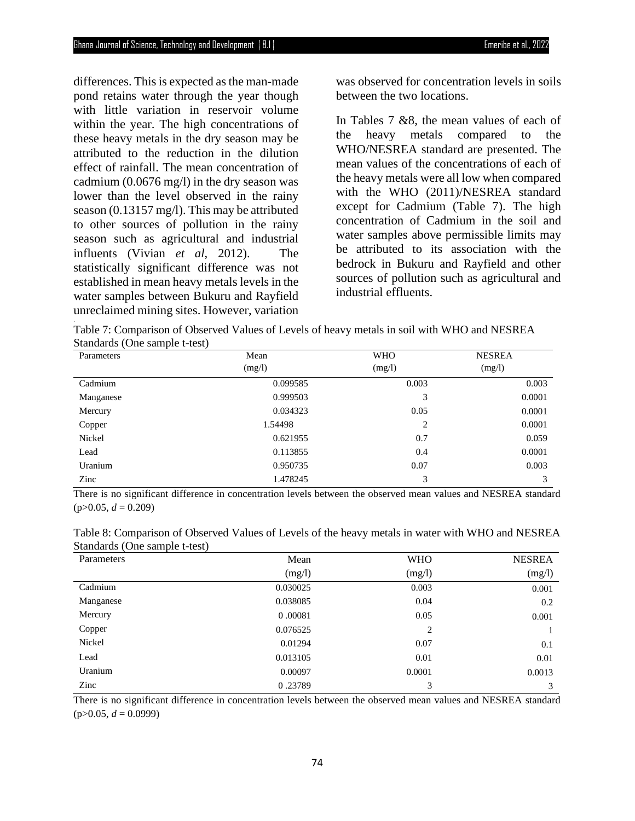differences. This is expected as the man-made pond retains water through the year though with little variation in reservoir volume within the year. The high concentrations of these heavy metals in the dry season may be attributed to the reduction in the dilution effect of rainfall. The mean concentration of cadmium (0.0676 mg/l) in the dry season was lower than the level observed in the rainy season (0.13157 mg/l). This may be attributed to other sources of pollution in the rainy season such as agricultural and industrial influents (Vivian *et al*, 2012). The statistically significant difference was not established in mean heavy metals levels in the water samples between Bukuru and Rayfield unreclaimed mining sites. However, variation .

was observed for concentration levels in soils between the two locations.

In Tables 7 &8, the mean values of each of the heavy metals compared to the WHO/NESREA standard are presented. The mean values of the concentrations of each of the heavy metals were all low when compared with the WHO (2011)/NESREA standard except for Cadmium (Table 7). The high concentration of Cadmium in the soil and water samples above permissible limits may be attributed to its association with the bedrock in Bukuru and Rayfield and other sources of pollution such as agricultural and industrial effluents.

Table 7: Comparison of Observed Values of Levels of heavy metals in soil with WHO and NESREA Standards (One sample t-test)

| Parameters | Mean     | <b>WHO</b>     | <b>NESREA</b> |
|------------|----------|----------------|---------------|
|            | (mg/l)   | (mg/l)         | (mg/l)        |
| Cadmium    | 0.099585 | 0.003          | 0.003         |
| Manganese  | 0.999503 | 3              | 0.0001        |
| Mercury    | 0.034323 | 0.05           | 0.0001        |
| Copper     | 1.54498  | $\overline{c}$ | 0.0001        |
| Nickel     | 0.621955 | 0.7            | 0.059         |
| Lead       | 0.113855 | 0.4            | 0.0001        |
| Uranium    | 0.950735 | 0.07           | 0.003         |
| Zinc       | 1.478245 | 3              | 3             |

There is no significant difference in concentration levels between the observed mean values and NESREA standard  $(p>0.05, d = 0.209)$ 

| Parameters | Mean     | <b>WHO</b> | <b>NESREA</b> |
|------------|----------|------------|---------------|
|            | (mg/l)   | (mg/l)     | (mg/l)        |
| Cadmium    | 0.030025 | 0.003      | 0.001         |
| Manganese  | 0.038085 | 0.04       | 0.2           |
| Mercury    | 0.00081  | 0.05       | 0.001         |
| Copper     | 0.076525 | 2          |               |
| Nickel     | 0.01294  | 0.07       | 0.1           |
| Lead       | 0.013105 | 0.01       | 0.01          |
| Uranium    | 0.00097  | 0.0001     | 0.0013        |
| Zinc       | 0.23789  | 3          | 3             |

Table 8: Comparison of Observed Values of Levels of the heavy metals in water with WHO and NESREA Standards (One sample t-test)

There is no significant difference in concentration levels between the observed mean values and NESREA standard  $(p>0.05, d = 0.0999)$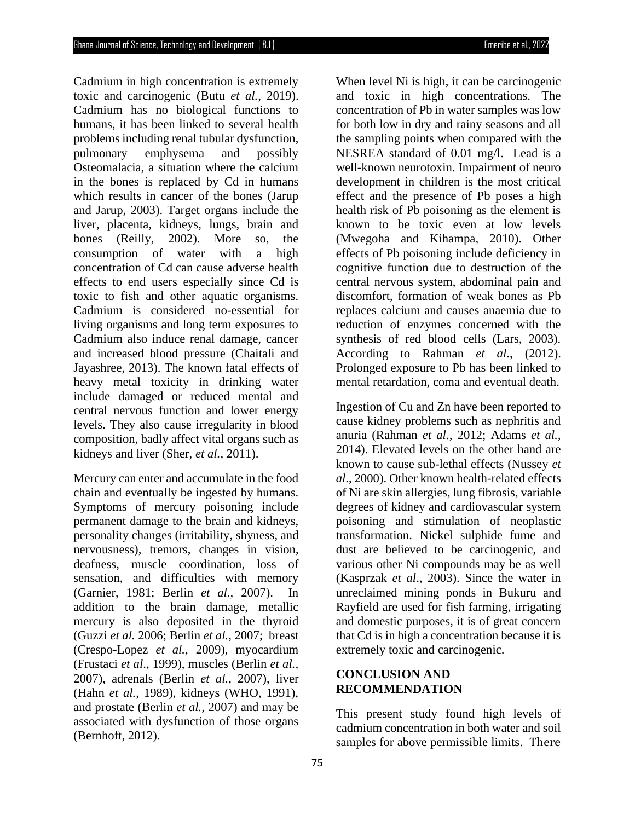Cadmium in high concentration is extremely toxic and carcinogenic (Butu *et al.,* 2019). Cadmium has no biological functions to humans, it has been linked to several health problems including renal tubular dysfunction, pulmonary emphysema and possibly Osteomalacia, a situation where the calcium in the bones is replaced by Cd in humans which results in cancer of the bones (Jarup and Jarup, 2003). Target organs include the liver, placenta, kidneys, lungs, brain and bones (Reilly, 2002). More so, the consumption of water with a high concentration of Cd can cause adverse health effects to end users especially since Cd is toxic to fish and other aquatic organisms. Cadmium is considered no-essential for living organisms and long term exposures to Cadmium also induce renal damage, cancer and increased blood pressure (Chaitali and Jayashree, 2013). The known fatal effects of heavy metal toxicity in drinking water include damaged or reduced mental and central nervous function and lower energy levels. They also cause irregularity in blood composition, badly affect vital organs such as kidneys and liver (Sher, *et al.,* 2011).

Mercury can enter and accumulate in the food chain and eventually be ingested by humans. Symptoms of mercury poisoning include permanent damage to the brain and kidneys, personality changes (irritability, shyness, and nervousness), tremors, changes in vision, deafness, muscle coordination, loss of sensation, and difficulties with memory (Garnier, 1981; Berlin *et al.,* 2007). In addition to the brain damage, metallic mercury is also deposited in the thyroid (Guzzi *et al.* 2006; Berlin *et al.,* 2007; breast (Crespo-Lopez *et al.,* 2009), myocardium (Frustaci *et al*., 1999), muscles (Berlin *et al.,* 2007), adrenals (Berlin *et al.,* 2007), liver (Hahn *et al.,* 1989), kidneys (WHO, 1991), and prostate (Berlin *et al.,* 2007) and may be associated with dysfunction of those organs (Bernhoft, 2012).

When level Ni is high, it can be carcinogenic and toxic in high concentrations. The concentration of Pb in water samples was low for both low in dry and rainy seasons and all the sampling points when compared with the NESREA standard of 0.01 mg/l. Lead is a well-known neurotoxin. Impairment of neuro development in children is the most critical effect and the presence of Pb poses a high health risk of Pb poisoning as the element is known to be toxic even at low levels (Mwegoha and Kihampa, 2010). Other effects of Pb poisoning include deficiency in cognitive function due to destruction of the central nervous system, abdominal pain and discomfort, formation of weak bones as Pb replaces calcium and causes anaemia due to reduction of enzymes concerned with the synthesis of red blood cells (Lars, 2003). According to Rahman *et al*., (2012). Prolonged exposure to Pb has been linked to mental retardation, coma and eventual death.

Ingestion of Cu and Zn have been reported to cause kidney problems such as nephritis and anuria (Rahman *et al*., 2012; Adams *et al.,*  2014). Elevated levels on the other hand are known to cause sub-lethal effects (Nussey *et al*., 2000). Other known health-related effects of Ni are skin allergies, lung fibrosis, variable degrees of kidney and cardiovascular system poisoning and stimulation of neoplastic transformation. Nickel sulphide fume and dust are believed to be carcinogenic, and various other Ni compounds may be as well (Kasprzak *et al*., 2003). Since the water in unreclaimed mining ponds in Bukuru and Rayfield are used for fish farming, irrigating and domestic purposes, it is of great concern that Cd is in high a concentration because it is extremely toxic and carcinogenic.

# **CONCLUSION AND RECOMMENDATION**

This present study found high levels of cadmium concentration in both water and soil samples for above permissible limits. There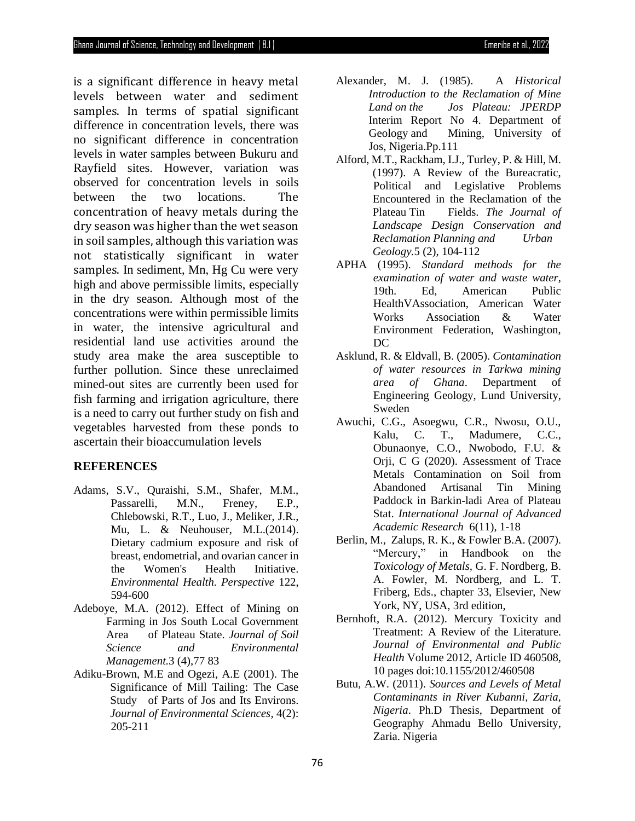is a significant difference in heavy metal levels between water and sediment samples. In terms of spatial significant difference in concentration levels, there was no significant difference in concentration levels in water samples between Bukuru and Rayfield sites. However, variation was observed for concentration levels in soils between the two locations. The concentration of heavy metals during the dry season was higher than the wet season in soil samples, although this variation was not statistically significant in water samples. In sediment, Mn, Hg Cu were very high and above permissible limits, especially in the dry season. Although most of the concentrations were within permissible limits in water, the intensive agricultural and residential land use activities around the study area make the area susceptible to further pollution. Since these unreclaimed mined-out sites are currently been used for fish farming and irrigation agriculture, there is a need to carry out further study on fish and vegetables harvested from these ponds to ascertain their bioaccumulation levels

#### **REFERENCES**

- Adams, S.V., Quraishi, S.M., Shafer, M.M., Passarelli, M.N., Freney, E.P., Chlebowski, R.T., Luo, J., Meliker, J.R., Mu, L. & Neuhouser, M.L.(2014). Dietary cadmium exposure and risk of breast, endometrial, and ovarian cancer in the Women's Health Initiative. *Environmental Health. Perspective* 122, 594-600
- Adeboye, M.A. (2012). Effect of Mining on Farming in Jos South Local Government Area of Plateau State. *Journal of Soil Science and Environmental Management.*3 (4),77 83
- Adiku-Brown, M.E and Ogezi, A.E (2001). The Significance of Mill Tailing: The Case Study of Parts of Jos and Its Environs. *Journal of Environmental Sciences*, 4(2): 205-211
- Alexander, M. J. (1985). A *Historical Introduction to the Reclamation of Mine Land on the Jos Plateau: JPERDP*  Interim Report No 4. Department of Geology and Mining, University of Jos, Nigeria.Pp.111
- Alford, M.T., Rackham, I.J., Turley, P. & Hill, M. (1997). A Review of the Bureacratic, Political and Legislative Problems Encountered in the Reclamation of the Plateau Tin Fields. *The Journal of Landscape Design Conservation and Reclamation Planning and Urban Geology.*5 (2), 104-112
- APHA (1995). *Standard methods for the examination of water and waste water*, 19th. Ed, American Public HealthVAssociation, American Water Works Association & Water Environment Federation, Washington, DC
- Asklund, R. & Eldvall, B. (2005). *Contamination of water resources in Tarkwa mining area of Ghana*. Department of Engineering Geology, Lund University, Sweden
- Awuchi, C.G., Asoegwu, C.R., Nwosu, O.U., Kalu, C. T., Madumere, C.C., Obunaonye, C.O., Nwobodo, F.U. & Orji, C G (2020). Assessment of Trace Metals Contamination on Soil from Abandoned Artisanal Tin Mining Paddock in Barkin-ladi Area of Plateau Stat. *International Journal of Advanced Academic Research* 6(11), 1-18
- Berlin, M., Zalups, R. K., & Fowler B.A. (2007). "Mercury," in Handbook on the *Toxicology of Metals,* G. F. Nordberg, B. A. Fowler, M. Nordberg, and L. T. Friberg, Eds., chapter 33, Elsevier, New York, NY, USA, 3rd edition,
- Bernhoft, R.A. (2012). Mercury Toxicity and Treatment: A Review of the Literature. *Journal of Environmental and Public Health* Volume 2012, Article ID 460508, 10 pages doi:10.1155/2012/460508
- Butu, A.W. (2011). *Sources and Levels of Metal Contaminants in River Kubanni, Zaria, Nigeria*. Ph.D Thesis, Department of Geography Ahmadu Bello University, Zaria. Nigeria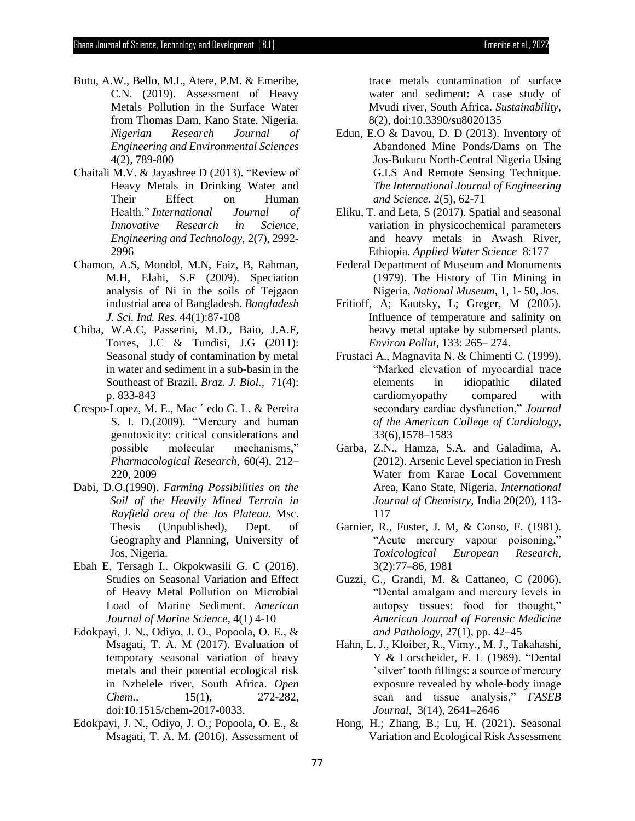- Butu, A.W., Bello, M.I., Atere, P.M. & Emeribe, C.N. (2019). Assessment of Heavy Metals Pollution in the Surface Water from Thomas Dam, Kano State, Nigeria. *Nigerian Research Journal of Engineering and Environmental Sciences* 4(2), 789-800
- Chaitali M.V. & Jayashree D (2013). "Review of Heavy Metals in Drinking Water and Their Effect on Human Health," *International Journal of Innovative Research in Science, Engineering and Technology,* 2(7), 2992- 2996
- Chamon, A.S, Mondol, M.N, Faiz, B, Rahman, M.H, Elahi, S.F (2009). Speciation analysis of Ni in the soils of Tejgaon industrial area of Bangladesh. *Bangladesh J. Sci. Ind. Res*. 44(1):87-108
- Chiba, W.A.C, Passerini, M.D., Baio, J.A.F, Torres, J.C & Tundisi, J.G (2011): Seasonal study of contamination by metal in water and sediment in a sub-basin in the Southeast of Brazil. *Braz. J. Biol.,* 71(4): p. 833-843
- Crespo-Lopez, M. E., Mac ´ edo G. L. & Pereira S. I. D.(2009). "Mercury and human genotoxicity: critical considerations and possible molecular mechanisms," *Pharmacological Research*, 60(4), 212– 220, 2009
- Dabi, D.O.(1990). *Farming Possibilities on the Soil of the Heavily Mined Terrain in Rayfield area of the Jos Plateau*. Msc. Thesis (Unpublished), Dept. of Geography and Planning, University of Jos, Nigeria.
- Ebah E, Tersagh I,. Okpokwasili G. C (2016). Studies on Seasonal Variation and Effect of Heavy Metal Pollution on Microbial Load of Marine Sediment. *American Journal of Marine Science,* 4(1) 4-10
- Edokpayi, J. N., Odiyo, J. O., Popoola, O. E., & Msagati, T. A. M (2017). Evaluation of temporary seasonal variation of heavy metals and their potential ecological risk in Nzhelele river, South Africa. *Open Chem.,* 15(1), 272-282, doi:10.1515/chem-2017-0033.
- Edokpayi, J. N., Odiyo, J. O.; Popoola, O. E., & Msagati, T. A. M. (2016). Assessment of

trace metals contamination of surface water and sediment: A case study of Mvudi river, South Africa. *Sustainability*, 8(2), doi:10.3390/su8020135

- Edun, E.O & Davou, D. D (2013). Inventory of Abandoned Mine Ponds/Dams on The Jos-Bukuru North-Central Nigeria Using G.I.S And Remote Sensing Technique. *The International Journal of Engineering and Science.* 2(5), 62-71
- Eliku, T. and Leta, S (2017). Spatial and seasonal variation in physicochemical parameters and heavy metals in Awash River, Ethiopia. *Applied Water Science* 8:177
- Federal Department of Museum and Monuments (1979). The History of Tin Mining in Nigeria, *National Museum*, 1, 1- 50, Jos.
- Fritioff, A; Kautsky, L; Greger, M (2005). Influence of temperature and salinity on heavy metal uptake by submersed plants. *Environ Pollut*, 133: 265– 274.
- Frustaci A., Magnavita N. & Chimenti C. (1999). "Marked elevation of myocardial trace elements in idiopathic dilated cardiomyopathy compared with secondary cardiac dysfunction," *Journal of the American College of Cardiology*, 33(6),1578–1583
- Garba, Z.N., Hamza, S.A. and Galadima, A. (2012). Arsenic Level speciation in Fresh Water from Karae Local Government Area, Kano State, Nigeria. *International Journal of Chemistry,* India 20(20), 113- 117
- Garnier, R., Fuster, J. M, & Conso, F. (1981). "Acute mercury vapour poisoning," *Toxicological European Research,*  3(2):77–86, 1981
- Guzzi, G., Grandi, M. & Cattaneo, C (2006). "Dental amalgam and mercury levels in autopsy tissues: food for thought," *American Journal of Forensic Medicine and Pathology*, 27(1), pp. 42–45
- Hahn, L. J., Kloiber, R., Vimy., M. J., Takahashi, Y & Lorscheider, F. L (1989). "Dental 'silver' tooth fillings: a source of mercury exposure revealed by whole-body image scan and tissue analysis," *FASEB Journal*, 3(14), 2641–2646
- Hong, H.; Zhang, B.; Lu, H. (2021). Seasonal Variation and Ecological Risk Assessment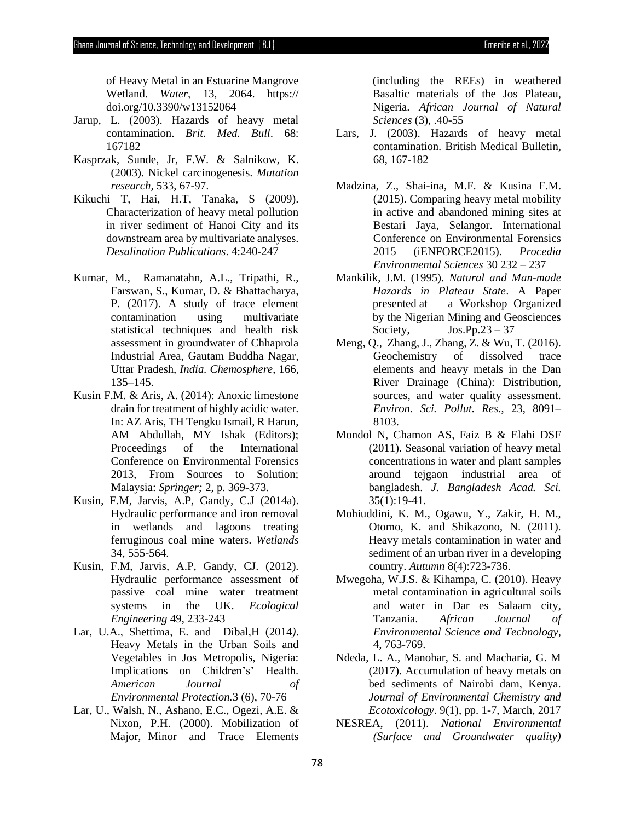of Heavy Metal in an Estuarine Mangrove Wetland. *Water,* 13, 2064. https:// doi.org/10.3390/w13152064

- Jarup, L. (2003). Hazards of heavy metal contamination. *Brit. Med. Bull*. 68: 167182
- Kasprzak, Sunde, Jr, F.W. & Salnikow, K. (2003). Nickel carcinogenesis. *Mutation research,* 533, 67-97.
- Kikuchi T, Hai, H.T, Tanaka, S (2009). Characterization of heavy metal pollution in river sediment of Hanoi City and its downstream area by multivariate analyses. *Desalination Publications*. 4:240-247
- Kumar, M., Ramanatahn, A.L., Tripathi, R., Farswan, S., Kumar, D. & Bhattacharya, P. (2017). A study of trace element contamination using multivariate statistical techniques and health risk assessment in groundwater of Chhaprola Industrial Area, Gautam Buddha Nagar, Uttar Pradesh, *India. Chemosphere*, 166, 135–145.
- Kusin F.M. & Aris, A. (2014): Anoxic limestone drain for treatment of highly acidic water. In: AZ Aris, TH Tengku Ismail, R Harun, AM Abdullah, MY Ishak (Editors); Proceedings of the International Conference on Environmental Forensics 2013, From Sources to Solution; Malaysia: *Springer;* 2, p. 369-373.
- Kusin, F.M, Jarvis, A.P, Gandy, C.J (2014a). Hydraulic performance and iron removal in wetlands and lagoons treating ferruginous coal mine waters. *Wetlands* 34, 555-564.
- Kusin, F.M, Jarvis, A.P, Gandy, CJ. (2012). Hydraulic performance assessment of passive coal mine water treatment systems in the UK. *Ecological Engineering* 49, 233-243
- Lar, U.A., Shettima, E. and Dibal,H (2014*)*. Heavy Metals in the Urban Soils and Vegetables in Jos Metropolis, Nigeria: Implications on Children's' Health*. American Journal of Environmental Protection.*3 (6), 70-76
- Lar, U., Walsh, N., Ashano, E.C., Ogezi, A.E. & Nixon, P.H. (2000). Mobilization of Major, Minor and Trace Elements

(including the REEs) in weathered Basaltic materials of the Jos Plateau, Nigeria. *African Journal of Natural Sciences* (3), .40-55

- Lars, J. (2003). Hazards of heavy metal contamination. British Medical Bulletin, 68, 167-182
- Madzina, Z., Shai-ina, M.F. & Kusina F.M. (2015). Comparing heavy metal mobility in active and abandoned mining sites at Bestari Jaya, Selangor. International Conference on Environmental Forensics 2015 (iENFORCE2015). *Procedia Environmental Sciences* 30 232 – 237
- Mankilik, J.M. (1995). *Natural and Man-made Hazards in Plateau State*. A Paper presented at a Workshop Organized by the Nigerian Mining and Geosciences Society,  $Jos.Pp.23 - 37$
- Meng, Q., Zhang, J., Zhang, Z. & Wu, T. (2016). Geochemistry of dissolved trace elements and heavy metals in the Dan River Drainage (China): Distribution, sources, and water quality assessment. *Environ. Sci. Pollut. Res*., 23, 8091– 8103.
- Mondol N, Chamon AS, Faiz B & Elahi DSF (2011). Seasonal variation of heavy metal concentrations in water and plant samples around tejgaon industrial area of bangladesh. *J. Bangladesh Acad. Sci.* 35(1):19-41.
- Mohiuddini, K. M., Ogawu, Y., Zakir, H. M., Otomo, K. and Shikazono, N. (2011). Heavy metals contamination in water and sediment of an urban river in a developing country. *Autumn* 8(4):723-736.
- Mwegoha, W.J.S. & Kihampa, C. (2010). Heavy metal contamination in agricultural soils and water in Dar es Salaam city, Tanzania. *African Journal of Environmental Science and Technology,* 4, 763-769.
- Ndeda, L. A., Manohar, S. and Macharia, G. M (2017). Accumulation of heavy metals on bed sediments of Nairobi dam, Kenya. *Journal of Environmental Chemistry and Ecotoxicology*. 9(1), pp. 1-7, March, 2017
- NESREA, (2011). *National Environmental (Surface and Groundwater quality)*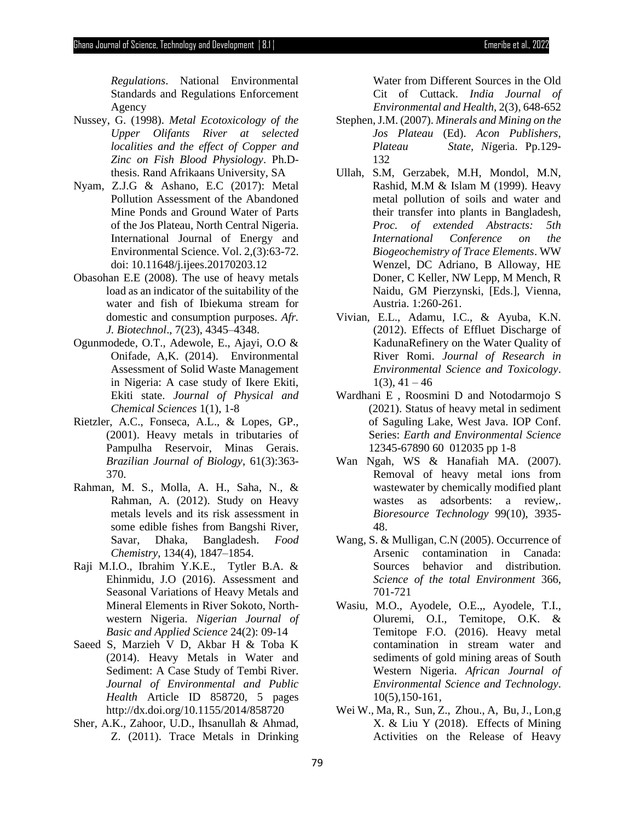*Regulations*. National Environmental Standards and Regulations Enforcement Agency

- Nussey, G. (1998). *Metal Ecotoxicology of the Upper Olifants River at selected localities and the effect of Copper and Zinc on Fish Blood Physiology*. Ph.Dthesis. Rand Afrikaans University, SA
- Nyam, Z.J.G & Ashano, E.C (2017): Metal Pollution Assessment of the Abandoned Mine Ponds and Ground Water of Parts of the Jos Plateau, North Central Nigeria. International Journal of Energy and Environmental Science. Vol. 2,(3):63-72. doi: 10.11648/j.ijees.20170203.12
- Obasohan E.E (2008). The use of heavy metals load as an indicator of the suitability of the water and fish of Ibiekuma stream for domestic and consumption purposes. *Afr. J. Biotechnol*., 7(23), 4345–4348.
- Ogunmodede, O.T., Adewole, E., Ajayi, O.O & Onifade, A,K. (2014). Environmental Assessment of Solid Waste Management in Nigeria: A case study of Ikere Ekiti, Ekiti state. *Journal of Physical and Chemical Sciences* 1(1), 1-8
- Rietzler, A.C., Fonseca, A.L., & Lopes, GP., (2001). Heavy metals in tributaries of Pampulha Reservoir, Minas Gerais. *Brazilian Journal of Biology*, 61(3):363- 370.
- Rahman, M. S., Molla, A. H., Saha, N., & Rahman, A. (2012). Study on Heavy metals levels and its risk assessment in some edible fishes from Bangshi River, Savar, Dhaka, Bangladesh. *Food Chemistry*, 134(4), 1847–1854.
- Raji M.I.O., Ibrahim Y.K.E., Tytler B.A. & Ehinmidu, J.O (2016). Assessment and Seasonal Variations of Heavy Metals and Mineral Elements in River Sokoto, Northwestern Nigeria. *Nigerian Journal of Basic and Applied Science* 24(2): 09-14
- Saeed S, Marzieh V D, Akbar H & Toba K (2014). Heavy Metals in Water and Sediment: A Case Study of Tembi River. *Journal of Environmental and Public Health* Article ID 858720, 5 pages http://dx.doi.org/10.1155/2014/858720
- Sher, A.K., Zahoor, U.D., Ihsanullah & Ahmad, Z. (2011). Trace Metals in Drinking

Water from Different Sources in the Old Cit of Cuttack. *India Journal of Environmental and Health,* 2(3), 648-652

- Stephen, J.M. (2007). *Minerals and Mining on the Jos Plateau* (Ed). *Acon Publishers, Plateau State, Ni*geria. Pp.129- 132
- Ullah, S.M, Gerzabek, M.H, Mondol, M.N, Rashid, M.M & Islam M (1999). Heavy metal pollution of soils and water and their transfer into plants in Bangladesh, *Proc. of extended Abstracts: 5th International Conference on the Biogeochemistry of Trace Elements*. WW Wenzel, DC Adriano, B Alloway, HE Doner, C Keller, NW Lepp, M Mench, R Naidu, GM Pierzynski, [Eds.], Vienna, Austria. 1:260-261.
- Vivian, E.L., Adamu, I.C., & Ayuba, K.N. (2012). Effects of Effluet Discharge of KadunaRefinery on the Water Quality of River Romi. *Journal of Research in Environmental Science and Toxicology*.  $1(3)$ ,  $41 - 46$
- Wardhani E , Roosmini D and Notodarmojo S (2021). Status of heavy metal in sediment of Saguling Lake, West Java. IOP Conf. Series: *Earth and Environmental Science* 12345-67890 60 012035 pp 1-8
- Wan Ngah, WS & Hanafiah MA. (2007). Removal of heavy metal ions from wastewater by chemically modified plant wastes as adsorbents: a review,. *Bioresource Technology* 99(10), 3935- 48.
- Wang, S. & Mulligan, C.N (2005). Occurrence of Arsenic contamination in Canada: Sources behavior and distribution. *Science of the total Environment* 366, 701-721
- Wasiu, M.O., Ayodele, O.E.,, Ayodele, T.I., Oluremi, O.I., Temitope, O.K. & Temitope F.O. (2016). Heavy metal contamination in stream water and sediments of gold mining areas of South Western Nigeria. *African Journal of Environmental Science and Technology*. 10(5),150-161,
- Wei W., Ma, R., Sun, Z., Zhou., A, Bu, J., Lon,g X. & Liu Y (2018). Effects of Mining Activities on the Release of Heavy